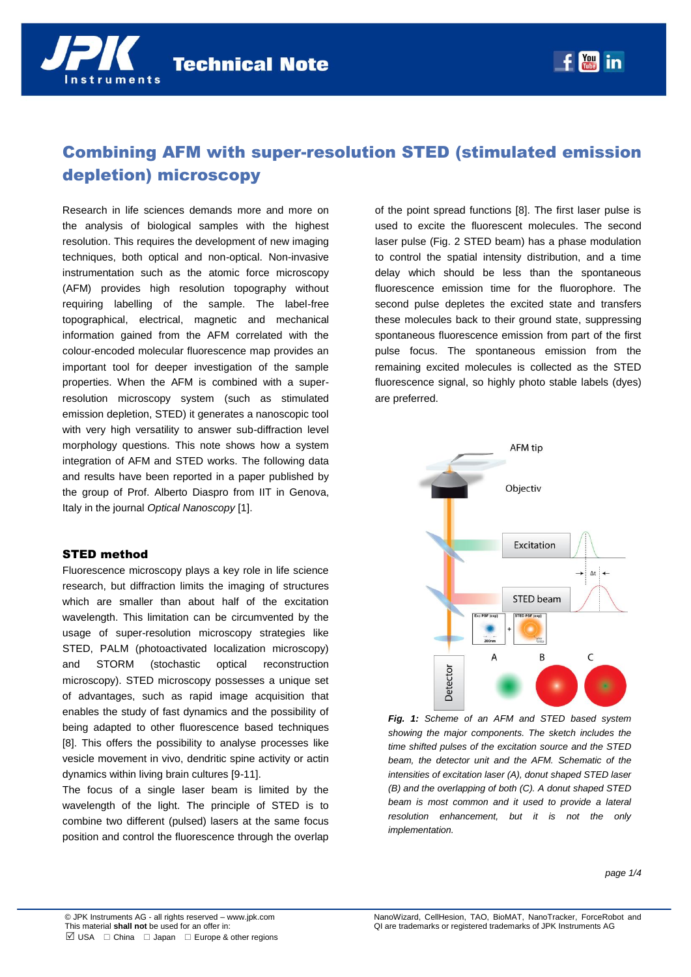# Combining AFM with super-resolution STED (stimulated emission depletion) microscopy

Research in life sciences demands more and more on the analysis of biological samples with the highest resolution. This requires the development of new imaging techniques, both optical and non-optical. Non-invasive instrumentation such as the atomic force microscopy (AFM) provides high resolution topography without requiring labelling of the sample. The label-free topographical, electrical, magnetic and mechanical information gained from the AFM correlated with the colour-encoded molecular fluorescence map provides an important tool for deeper investigation of the sample properties. When the AFM is combined with a superresolution microscopy system (such as stimulated emission depletion, STED) it generates a nanoscopic tool with very high versatility to answer sub-diffraction level morphology questions. This note shows how a system integration of AFM and STED works. The following data and results have been reported in a paper published by the group of Prof. Alberto Diaspro from IIT in Genova, Italy in the journal *Optical Nanoscopy* [1].

## STED method

Fluorescence microscopy plays a key role in life science research, but diffraction limits the imaging of structures which are smaller than about half of the excitation wavelength. This limitation can be circumvented by the usage of super-resolution microscopy strategies like STED, PALM (photoactivated localization microscopy) and STORM (stochastic optical reconstruction microscopy). STED microscopy possesses a unique set of advantages, such as rapid image acquisition that enables the study of fast dynamics and the possibility of being adapted to other fluorescence based techniques [8]. This offers the possibility to analyse processes like vesicle movement in vivo, dendritic spine activity or actin dynamics within living brain cultures [9-11].

The focus of a single laser beam is limited by the wavelength of the light. The principle of STED is to combine two different (pulsed) lasers at the same focus position and control the fluorescence through the overlap

of the point spread functions [8]. The first laser pulse is used to excite the fluorescent molecules. The second laser pulse (Fig. 2 STED beam) has a phase modulation to control the spatial intensity distribution, and a time delay which should be less than the spontaneous fluorescence emission time for the fluorophore. The second pulse depletes the excited state and transfers these molecules back to their ground state, suppressing spontaneous fluorescence emission from part of the first pulse focus. The spontaneous emission from the remaining excited molecules is collected as the STED fluorescence signal, so highly photo stable labels (dyes) are preferred.

 $f_{\text{max}}^{y}$  in



*Fig. 1: Scheme of an AFM and STED based system showing the major components. The sketch includes the time shifted pulses of the excitation source and the STED beam, the detector unit and the AFM. Schematic of the intensities of excitation laser (A), donut shaped STED laser (B) and the overlapping of both (C). A donut shaped STED beam is most common and it used to provide a lateral resolution enhancement, but it is not the only implementation.*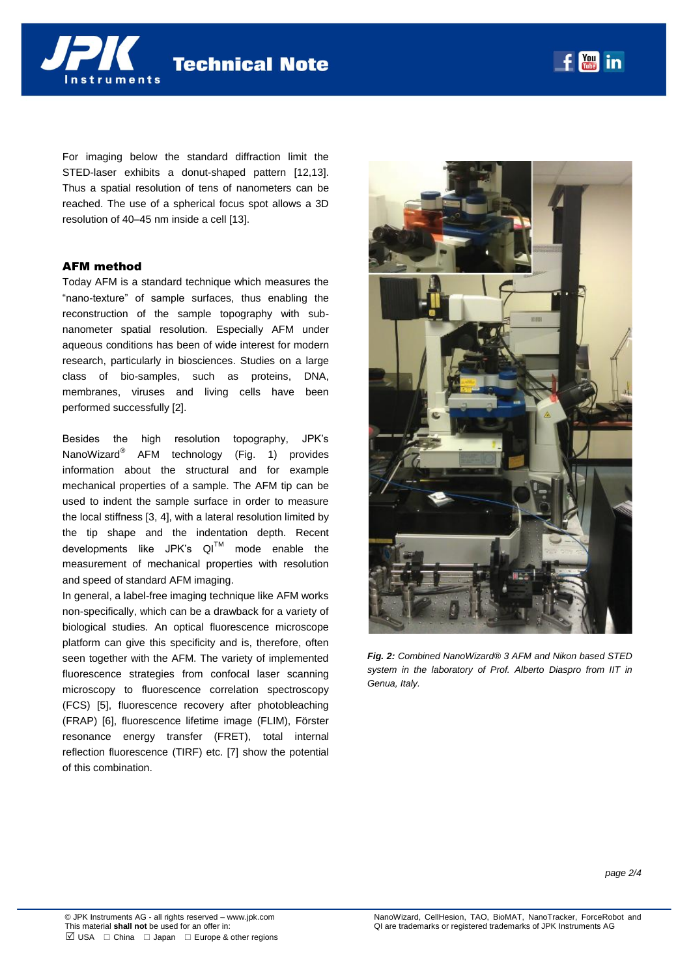**Technical Note** 

For imaging below the standard diffraction limit the STED-laser exhibits a donut-shaped pattern [12,13]. Thus a spatial resolution of tens of nanometers can be reached. The use of a spherical focus spot allows a 3D resolution of 40–45 nm inside a cell [13].

#### AFM method

nstruments

Today AFM is a standard technique which measures the "nano-texture" of sample surfaces, thus enabling the reconstruction of the sample topography with subnanometer spatial resolution. Especially AFM under aqueous conditions has been of wide interest for modern research, particularly in biosciences. Studies on a large class of bio-samples, such as proteins, DNA, membranes, viruses and living cells have been performed successfully [2].

Besides the high resolution topography, JPK's NanoWizard® AFM technology (Fig. 1) provides information about the structural and for example mechanical properties of a sample. The AFM tip can be used to indent the sample surface in order to measure the local stiffness [3, 4], with a lateral resolution limited by the tip shape and the indentation depth. Recent developments like JPK's QI™ mode enable the measurement of mechanical properties with resolution and speed of standard AFM imaging.

In general, a label-free imaging technique like AFM works non-specifically, which can be a drawback for a variety of biological studies. An optical fluorescence microscope platform can give this specificity and is, therefore, often seen together with the AFM. The variety of implemented fluorescence strategies from confocal laser scanning microscopy to fluorescence correlation spectroscopy (FCS) [5], fluorescence recovery after photobleaching (FRAP) [6], fluorescence lifetime image (FLIM), Förster resonance energy transfer (FRET), total internal reflection fluorescence (TIRF) etc. [7] show the potential of this combination.



*Fig. 2: Combined NanoWizard® 3 AFM and Nikon based STED system in the laboratory of Prof. Alberto Diaspro from IIT in Genua, Italy.*

 $|$  You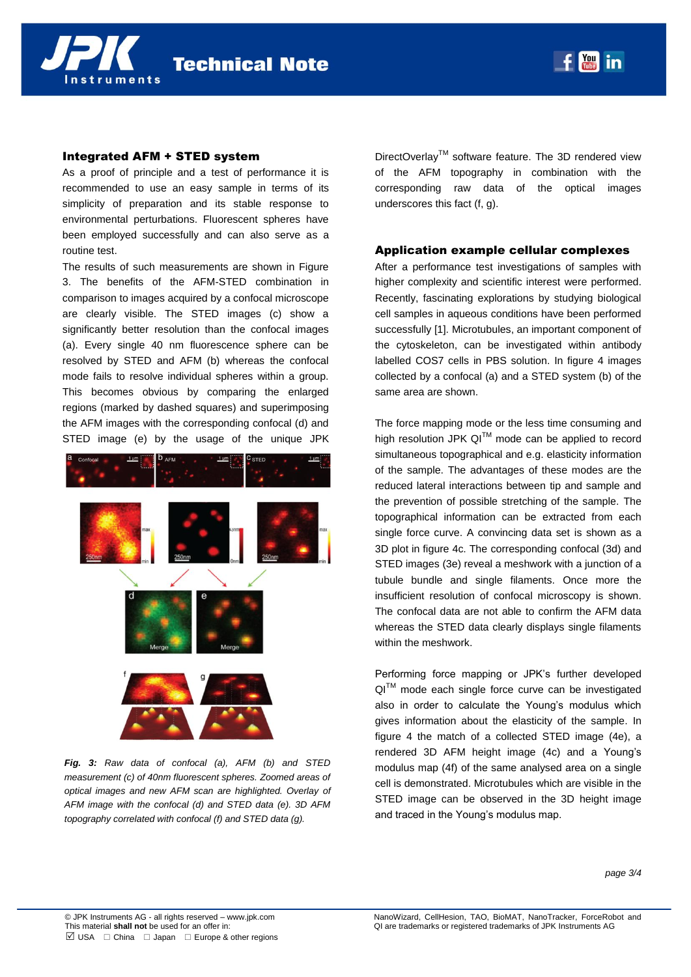

## Integrated AFM + STED system

As a proof of principle and a test of performance it is recommended to use an easy sample in terms of its simplicity of preparation and its stable response to environmental perturbations. Fluorescent spheres have been employed successfully and can also serve as a routine test.

The results of such measurements are shown in Figure 3. The benefits of the AFM-STED combination in comparison to images acquired by a confocal microscope are clearly visible. The STED images (c) show a significantly better resolution than the confocal images (a). Every single 40 nm fluorescence sphere can be resolved by STED and AFM (b) whereas the confocal mode fails to resolve individual spheres within a group. This becomes obvious by comparing the enlarged regions (marked by dashed squares) and superimposing the AFM images with the corresponding confocal (d) and STED image (e) by the usage of the unique JPK



*Fig. 3: Raw data of confocal (a), AFM (b) and STED measurement (c) of 40nm fluorescent spheres. Zoomed areas of optical images and new AFM scan are highlighted. Overlay of AFM image with the confocal (d) and STED data (e). 3D AFM topography correlated with confocal (f) and STED data (g).* 

DirectOverlay™ software feature. The 3D rendered view of the AFM topography in combination with the corresponding raw data of the optical images underscores this fact (f, g).

 $|$  You

in

### Application example cellular complexes

After a performance test investigations of samples with higher complexity and scientific interest were performed. Recently, fascinating explorations by studying biological cell samples in aqueous conditions have been performed successfully [1]. Microtubules, an important component of the cytoskeleton, can be investigated within antibody labelled COS7 cells in PBS solution. In figure 4 images collected by a confocal (a) and a STED system (b) of the same area are shown.

The force mapping mode or the less time consuming and high resolution JPK QI<sup>TM</sup> mode can be applied to record simultaneous topographical and e.g. elasticity information of the sample. The advantages of these modes are the reduced lateral interactions between tip and sample and the prevention of possible stretching of the sample. The topographical information can be extracted from each single force curve. A convincing data set is shown as a 3D plot in figure 4c. The corresponding confocal (3d) and STED images (3e) reveal a meshwork with a junction of a tubule bundle and single filaments. Once more the insufficient resolution of confocal microscopy is shown. The confocal data are not able to confirm the AFM data whereas the STED data clearly displays single filaments within the meshwork.

Performing force mapping or JPK's further developed QI™ mode each single force curve can be investigated also in order to calculate the Young's modulus which gives information about the elasticity of the sample. In figure 4 the match of a collected STED image (4e), a rendered 3D AFM height image (4c) and a Young's modulus map (4f) of the same analysed area on a single cell is demonstrated. Microtubules which are visible in the STED image can be observed in the 3D height image and traced in the Young's modulus map.

*page 3/4*